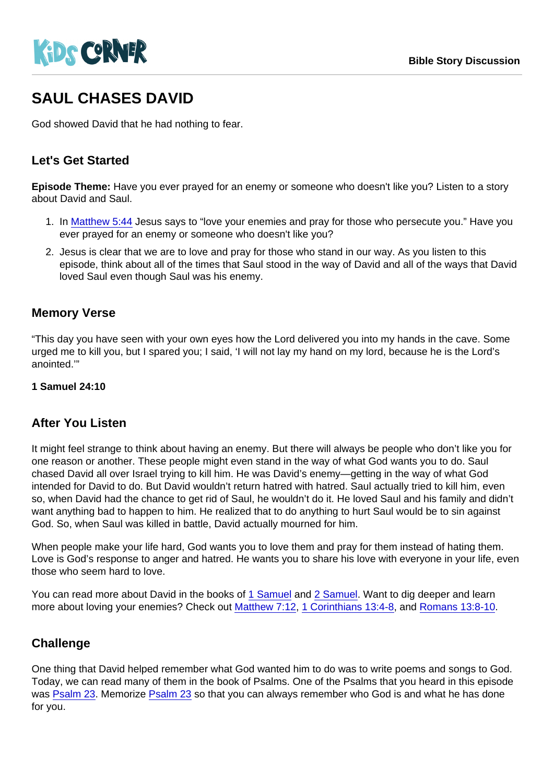# SAUL CHASES DAVID

God showed David that he had nothing to fear.

### Let's Get Started

Episode Theme: Have you ever prayed for an enemy or someone who doesn't like you? Listen to a story about David and Saul.

- 1. In [Matthew 5:44](https://www.biblegateway.com/passage/?search=Matthew+5&version=NIV) Jesus says to "love your enemies and pray for those who persecute you." Have you ever prayed for an enemy or someone who doesn't like you?
- 2. Jesus is clear that we are to love and pray for those who stand in our way. As you listen to this episode, think about all of the times that Saul stood in the way of David and all of the ways that David loved Saul even though Saul was his enemy.

#### Memory Verse

"This day you have seen with your own eyes how the Lord delivered you into my hands in the cave. Some urged me to kill you, but I spared you; I said, 'I will not lay my hand on my lord, because he is the Lord's anointed.'"

1 Samuel 24:10

#### After You Listen

It might feel strange to think about having an enemy. But there will always be people who don't like you for one reason or another. These people might even stand in the way of what God wants you to do. Saul chased David all over Israel trying to kill him. He was David's enemy—getting in the way of what God intended for David to do. But David wouldn't return hatred with hatred. Saul actually tried to kill him, even so, when David had the chance to get rid of Saul, he wouldn't do it. He loved Saul and his family and didn't want anything bad to happen to him. He realized that to do anything to hurt Saul would be to sin against God. So, when Saul was killed in battle, David actually mourned for him.

When people make your life hard, God wants you to love them and pray for them instead of hating them. Love is God's response to anger and hatred. He wants you to share his love with everyone in your life, even those who seem hard to love.

You can read more about David in the books of [1 Samuel](https://www.biblegateway.com/passage/?search=1+Samuel+1&version=NIV) and [2 Samuel](https://www.biblegateway.com/passage/?search=2+Samuel+1&version=NIV). Want to dig deeper and learn more about loving your enemies? Check out [Matthew 7:12](https://www.biblegateway.com/passage/?search=Matthew+7:12&version=NIV), [1 Corinthians 13:4-8](https://www.biblegateway.com/passage/?search=1+Corinthians+13:4-8&version=NIV), and [Romans 13:8-10](https://www.biblegateway.com/passage/?search=Romans+13:8-10&version=NIV).

#### **Challenge**

One thing that David helped remember what God wanted him to do was to write poems and songs to God. Today, we can read many of them in the book of Psalms. One of the Psalms that you heard in this episode was [Psalm 23](https://www.biblegateway.com/passage/?search=Psalms+23&version=NIV). Memorize [Psalm 23](https://www.biblegateway.com/passage/?search=Psalms+23&version=NIV) so that you can always remember who God is and what he has done for you.